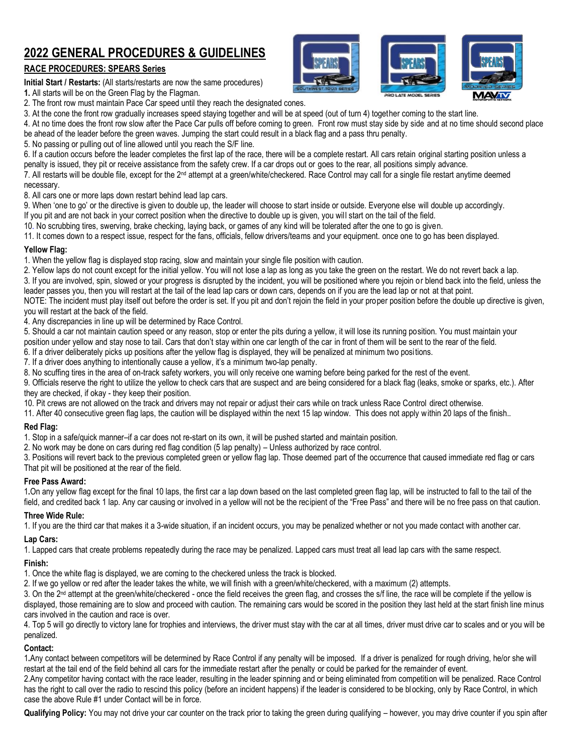## **2022 GENERAL PROCEDURES & GUIDELINES**

## **RACE PROCEDURES: SPEARS Series**

**Initial Start / Restarts:** (All starts/restarts are now the same procedures)

**1.** All starts will be on the Green Flag by the Flagman.

2. The front row must maintain Pace Car speed until they reach the designated cones.

3. At the cone the front row gradually increases speed staying together and will be at speed (out of turn 4) together coming to the start line.

4. At no time does the front row slow after the Pace Car pulls off before coming to green. Front row must stay side by side and at no time should second place

be ahead of the leader before the green waves. Jumping the start could result in a black flag and a pass thru penalty.

5. No passing or pulling out of line allowed until you reach the S/F line.

6. If a caution occurs before the leader completes the first lap of the race, there will be a complete restart. All cars retain original starting position unless a penalty is issued, they pit or receive assistance from the safety crew. If a car drops out or goes to the rear, all positions simply advance.

7. All restarts will be double file, except for the 2nd attempt at a green/white/checkered. Race Control may call for a single file restart anytime deemed necessary.

8. All cars one or more laps down restart behind lead lap cars.

9. When 'one to go' or the directive is given to double up, the leader will choose to start inside or outside. Everyone else will double up accordingly.

- If you pit and are not back in your correct position when the directive to double up is given, you will start on the tail of the field.
- 10. No scrubbing tires, swerving, brake checking, laying back, or games of any kind will be tolerated after the one to go is given.

11. It comes down to a respect issue, respect for the fans, officials, fellow drivers/teams and your equipment. once one to go has been displayed.

## **Yellow Flag:**

1. When the yellow flag is displayed stop racing, slow and maintain your single file position with caution.

2. Yellow laps do not count except for the initial yellow. You will not lose a lap as long as you take the green on the restart. We do not revert back a lap.

3. If you are involved, spin, slowed or your progress is disrupted by the incident, you will be positioned where you rejoin or blend back into the field, unless the leader passes you, then you will restart at the tail of the lead lap cars or down cars, depends on if you are the lead lap or not at that point.

NOTE: The incident must play itself out before the order is set. If you pit and don't rejoin the field in your proper position before the double up directive is given, you will restart at the back of the field.

4. Any discrepancies in line up will be determined by Race Control.

5. Should a car not maintain caution speed or any reason, stop or enter the pits during a yellow, it will lose its running position. You must maintain your

position under yellow and stay nose to tail. Cars that don't stay within one car length of the car in front of them will be sent to the rear of the field.

6. If a driver deliberately picks up positions after the yellow flag is displayed, they will be penalized at minimum two positions.

7. If a driver does anything to intentionally cause a yellow, it's a minimum two-lap penalty.

8. No scuffing tires in the area of on-track safety workers, you will only receive one warning before being parked for the rest of the event.

9. Officials reserve the right to utilize the yellow to check cars that are suspect and are being considered for a black flag (leaks, smoke or sparks, etc.). After they are checked, if okay - they keep their position.

10. Pit crews are not allowed on the track and drivers may not repair or adjust their cars while on track unless Race Control direct otherwise.

11. After 40 consecutive green flag laps, the caution will be displayed within the next 15 lap window. This does not apply within 20 laps of the finish..

## **Red Flag:**

1. Stop in a safe/quick manner–if a car does not re-start on its own, it will be pushed started and maintain position.

2. No work may be done on cars during red flag condition (5 lap penalty) – Unless authorized by race control.

3. Positions will revert back to the previous completed green or yellow flag lap. Those deemed part of the occurrence that caused immediate red flag or cars That pit will be positioned at the rear of the field.

## **Free Pass Award:**

1**.**On any yellow flag except for the final 10 laps, the first car a lap down based on the last completed green flag lap, will be instructed to fall to the tail of the field, and credited back 1 lap. Any car causing or involved in a yellow will not be the recipient of the "Free Pass" and there will be no free pass on that caution.

## **Three Wide Rule:**

1. If you are the third car that makes it a 3-wide situation, if an incident occurs, you may be penalized whether or not you made contact with another car.

## **Lap Cars:**

1. Lapped cars that create problems repeatedly during the race may be penalized. Lapped cars must treat all lead lap cars with the same respect.

## **Finish:**

1. Once the white flag is displayed, we are coming to the checkered unless the track is blocked.

2. If we go yellow or red after the leader takes the white, we will finish with a green/white/checkered, with a maximum (2) attempts.

3. On the 2<sup>nd</sup> attempt at the green/white/checkered - once the field receives the green flag, and crosses the s/f line, the race will be complete if the yellow is displayed, those remaining are to slow and proceed with caution. The remaining cars would be scored in the position they last held at the start finish line minus cars involved in the caution and race is over.

4. Top 5 will go directly to victory lane for trophies and interviews, the driver must stay with the car at all times, driver must drive car to scales and or you will be penalized.

## **Contact:**

1**.**Any contact between competitors will be determined by Race Control if any penalty will be imposed. If a driver is penalized for rough driving, he/or she will restart at the tail end of the field behind all cars for the immediate restart after the penalty or could be parked for the remainder of event.

2.Any competitor having contact with the race leader, resulting in the leader spinning and or being eliminated from competition will be penalized. Race Control has the right to call over the radio to rescind this policy (before an incident happens) if the leader is considered to be blocking, only by Race Control, in which case the above Rule #1 under Contact will be in force.

**Qualifying Policy:** You may not drive your car counter on the track prior to taking the green during qualifying – however, you may drive counter if you spin after





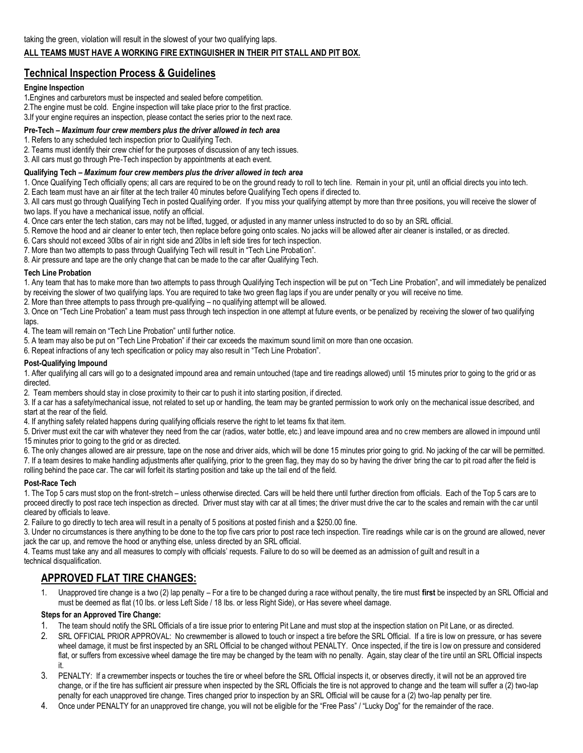## **ALL TEAMS MUST HAVE A WORKING FIRE EXTINGUISHER IN THEIR PIT STALL AND PIT BOX.**

## **Technical Inspection Process & Guidelines**

#### **Engine Inspection**

- 1**.**Engines and carburetors must be inspected and sealed before competition.
- 2.The engine must be cold. Engine inspection will take place prior to the first practice.
- 3**.**If your engine requires an inspection, please contact the series prior to the next race.

## **Pre-Tech –** *Maximum four crew members plus the driver allowed in tech area*

1. Refers to any scheduled tech inspection prior to Qualifying Tech.

2. Teams must identify their crew chief for the purposes of discussion of any tech issues.

3. All cars must go through Pre‐Tech inspection by appointments at each event.

#### **Qualifying Tech –** *Maximum four crew members plus the driver allowed in tech area*

1. Once Qualifying Tech officially opens; all cars are required to be on the ground ready to roll to tech line. Remain in your pit, until an official directs you into tech.

2. Each team must have an air filter at the tech trailer 40 minutes before Qualifying Tech opens if directed to.

3. All cars must go through Qualifying Tech in posted Qualifying order. If you miss your qualifying attempt by more than thr ee positions, you will receive the slower of two laps. If you have a mechanical issue, notify an official.

- 4. Once cars enter the tech station, cars may not be lifted, tugged, or adjusted in any manner unless instructed to do so by an SRL official.
- 5. Remove the hood and air cleaner to enter tech, then replace before going onto scales. No jacks wi ll be allowed after air cleaner is installed, or as directed.

6. Cars should not exceed 30lbs of air in right side and 20lbs in left side tires for tech inspection.

7. More than two attempts to pass through Qualifying Tech will result in "Tech Line Probation".

8. Air pressure and tape are the only change that can be made to the car after Qualifying Tech.

#### **Tech Line Probation**

1. Any team that has to make more than two attempts to pass through Qualifying Tech inspection will be put on "Tech Line Probation", and will immediately be penalized by receiving the slower of two qualifying laps. You are required to take two green flag laps if you are under penalty or you will receive no time.

2. More than three attempts to pass through pre-qualifying – no qualifying attempt will be allowed.

3. Once on "Tech Line Probation" a team must pass through tech inspection in one attempt at future events, or be penalized by receiving the slower of two qualifying laps.

4. The team will remain on "Tech Line Probation" until further notice.

5. A team may also be put on "Tech Line Probation" if their car exceeds the maximum sound limit on more than one occasion.

6. Repeat infractions of any tech specification or policy may also result in "Tech Line Probation".

#### **Post-Qualifying Impound**

1. After qualifying all cars will go to a designated impound area and remain untouched (tape and tire readings allowed) until 15 minutes prior to going to the grid or as directed.

2. Team members should stay in close proximity to their car to push it into starting position, if directed.

3. If a car has a safety/mechanical issue, not related to set up or handling, the team may be granted permission to work only on the mechanical issue described, and start at the rear of the field.

4. If anything safety related happens during qualifying officials reserve the right to let teams fix that item.

5. Driver must exit the car with whatever they need from the car (radios, water bottle, etc.) and leave impound area and no c rew members are allowed in impound until 15 minutes prior to going to the grid or as directed.

6. The only changes allowed are air pressure, tape on the nose and driver aids, which will be done 15 minutes prior going to grid. No jacking of the car will be permitted. 7. If a team desires to make handling adjustments after qualifying, prior to the green flag, they may do so by having the driver bring the car to pit road after the field is rolling behind the pace car. The car will forfeit its starting position and take up the tail end of the field.

#### **Post-Race Tech**

1. The Top 5 cars must stop on the front‐stretch – unless otherwise directed. Cars will be held there until further direction from officials. Each of the Top 5 cars are to proceed directly to post race tech inspection as directed. Driver must stay with car at all times; the driver must drive the car to the scales and remain with the car until cleared by officials to leave.

2. Failure to go directly to tech area will result in a penalty of 5 positions at posted finish and a \$250.00 fine.

3. Under no circumstances is there anything to be done to the top five cars prior to post race tech inspection. Tire readings while car is on the ground are allowed, never jack the car up, and remove the hood or anything else, unless directed by an SRL official.

4. Teams must take any and all measures to comply with officials' requests. Failure to do so will be deemed as an admission of guilt and result in a technical disqualification.

## **APPROVED FLAT TIRE CHANGES:**

1. Unapproved tire change is a two (2) lap penalty – For a tire to be changed during a race without penalty, the tire must **first** be inspected by an SRL Official and must be deemed as flat (10 lbs. or less Left Side / 18 lbs. or less Right Side), or Has severe wheel damage.

#### **Steps for an Approved Tire Change:**

- 1. The team should notify the SRL Officials of a tire issue prior to entering Pit Lane and must stop at the inspection station on Pit Lane, or as directed.
- 2. SRL OFFICIAL PRIOR APPROVAL: No crewmember is allowed to touch or inspect a tire before the SRL Official. If a tire is low on pressure, or has severe wheel damage, it must be first inspected by an SRL Official to be changed without PENALTY. Once inspected, if the tire is low on pressure and considered flat, or suffers from excessive wheel damage the tire may be changed by the team with no penalty. Again, stay clear of the tire until an SRL Official inspects it.
- 3. PENALTY: If a crewmember inspects or touches the tire or wheel before the SRL Official inspects it, or observes directly, it will not be an approved tire change, or if the tire has sufficient air pressure when inspected by the SRL Officials the tire is not approved to change and the team will suffer a (2) two-lap penalty for each unapproved tire change. Tires changed prior to inspection by an SRL Official will be cause for a (2) two-lap penalty per tire.
- 4. Once under PENALTY for an unapproved tire change, you will not be eligible for the "Free Pass" / "Lucky Dog" for the remainder of the race.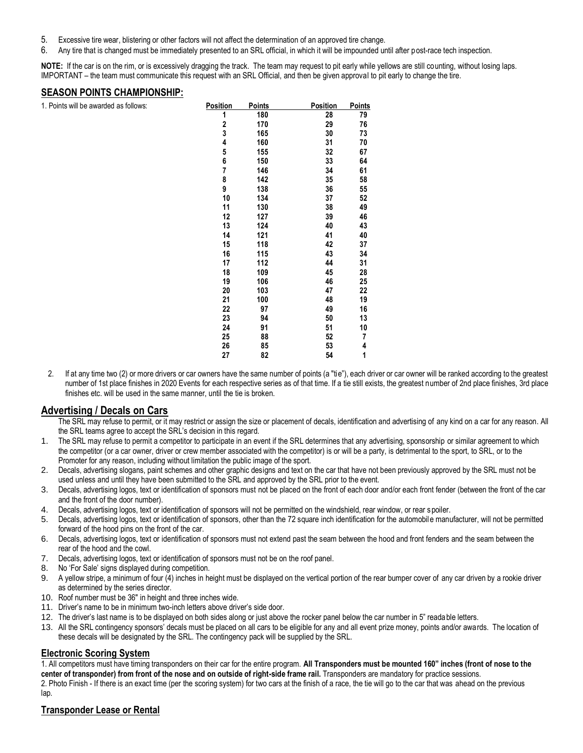- 5. Excessive tire wear, blistering or other factors will not affect the determination of an approved tire change.
- 6. Any tire that is changed must be immediately presented to an SRL official, in which it will be impounded until after post-race tech inspection.

**NOTE:** If the car is on the rim, or is excessively dragging the track. The team may request to pit early while yellows are still counting, without losing laps. IMPORTANT – the team must communicate this request with an SRL Official, and then be given approval to pit early to change the tire.

## **SEASON POINTS CHAMPIONSHIP:**

1. Points will be awarded as follows: **Points Points Points Points Points** 

| 1. Points will be awarded as follows: | <b>Position</b> | <b>Points</b> | <b>Position</b> | <b>Points</b> |
|---------------------------------------|-----------------|---------------|-----------------|---------------|
|                                       | 1               | 180           | 28              | 79            |
|                                       | 2               | 170           | 29              | 76            |
|                                       | 3               | 165           | 30              | 73            |
|                                       | 4               | 160           | 31              | 70            |
|                                       | 5               | 155           | 32              | 67            |
|                                       | 6               | 150           | 33              | 64            |
|                                       | 7               | 146           | 34              | 61            |
|                                       | 8               | 142           | 35              | 58            |
|                                       | 9               | 138           | 36              | 55            |
|                                       | 10              | 134           | 37              | 52            |
|                                       | 11              | 130           | 38              | 49            |
|                                       | 12              | 127           | 39              | 46            |
|                                       | 13              | 124           | 40              | 43            |
|                                       | 14              | 121           | 41              | 40            |
|                                       | 15              | 118           | 42              | 37            |
|                                       | 16              | 115           | 43              | 34            |
|                                       | 17              | 112           | 44              | 31            |
|                                       | 18              | 109           | 45              | 28            |
|                                       | 19              | 106           | 46              | 25            |
|                                       | 20              | 103           | 47              | 22            |
|                                       | 21              | 100           | 48              | 19            |
|                                       | 22              | 97            | 49              | 16            |
|                                       | 23              | 94            | 50              | 13            |
|                                       | 24              | 91            | 51              | 10            |
|                                       | 25              | 88            | 52              | 7             |
|                                       | 26              | 85            | 53              | 4             |
|                                       | 27              | 82            | 54              | 1             |
|                                       |                 |               |                 |               |

2. If at any time two (2) or more drivers or car owners have the same number of points (a "tie"), each driver or car owner will be ranked according to the greatest number of 1st place finishes in 2020 Events for each respective series as of that time. If a tie still exists, the greatest number of 2nd place finishes, 3rd place finishes etc. will be used in the same manner, until the tie is broken.

## **Advertising / Decals on Cars**

The SRL may refuse to permit, or it may restrict or assign the size or placement of decals, identification and advertising of any kind on a car for any reason. All the SRL teams agree to accept the SRL's decision in this regard.

- 1. The SRL may refuse to permit a competitor to participate in an event if the SRL determines that any advertising, sponsorship or similar agreement to which the competitor (or a car owner, driver or crew member associated with the competitor) is or will be a party, is detrimental to the sport, to SRL, or to the Promoter for any reason, including without limitation the public image of the sport.
- 2. Decals, advertising slogans, paint schemes and other graphic designs and text on the car that have not been previously approved by the SRL must not be used unless and until they have been submitted to the SRL and approved by the SRL prior to the event.
- 3. Decals, advertising logos, text or identification of sponsors must not be placed on the front of each door and/or each front fender (between the front of the car and the front of the door number).
- 4. Decals, advertising logos, text or identification of sponsors will not be permitted on the windshield, rear window, or rear spoiler.
- 5. Decals, advertising logos, text or identification of sponsors, other than the 72 square inch identification for the automobile manufacturer, will not be permitted forward of the hood pins on the front of the car.
- 6. Decals, advertising logos, text or identification of sponsors must not extend past the seam between the hood and front fenders and the seam between the rear of the hood and the cowl.
- 7. Decals, advertising logos, text or identification of sponsors must not be on the roof panel.
- 8. No 'For Sale' signs displayed during competition.
- 9. A yellow stripe, a minimum of four (4) inches in height must be displayed on the vertical portion of the rear bumper cover of any car driven by a rookie driver as determined by the series director.
- 10. Roof number must be 36" in height and three inches wide.
- 11. Driver's name to be in minimum two-inch letters above driver's side door.
- 12. The driver's last name is to be displayed on both sides along or just above the rocker panel below the car number in 5" reada ble letters.
- 13. All the SRL contingency sponsors' decals must be placed on all cars to be eligible for any and all event prize money, points and/or awards. The location of these decals will be designated by the SRL. The contingency pack will be supplied by the SRL.

## **Electronic Scoring System**

1. All competitors must have timing transponders on their car for the entire program. **All Transponders must be mounted 160" inches (front of nose to the center of transponder) from front of the nose and on outside of right-side frame rail.** Transponders are mandatory for practice sessions. 2. Photo Finish - If there is an exact time (per the scoring system) for two cars at the finish of a race, the tie will go to the car that was ahead on the previous lan

## **Transponder Lease or Rental**